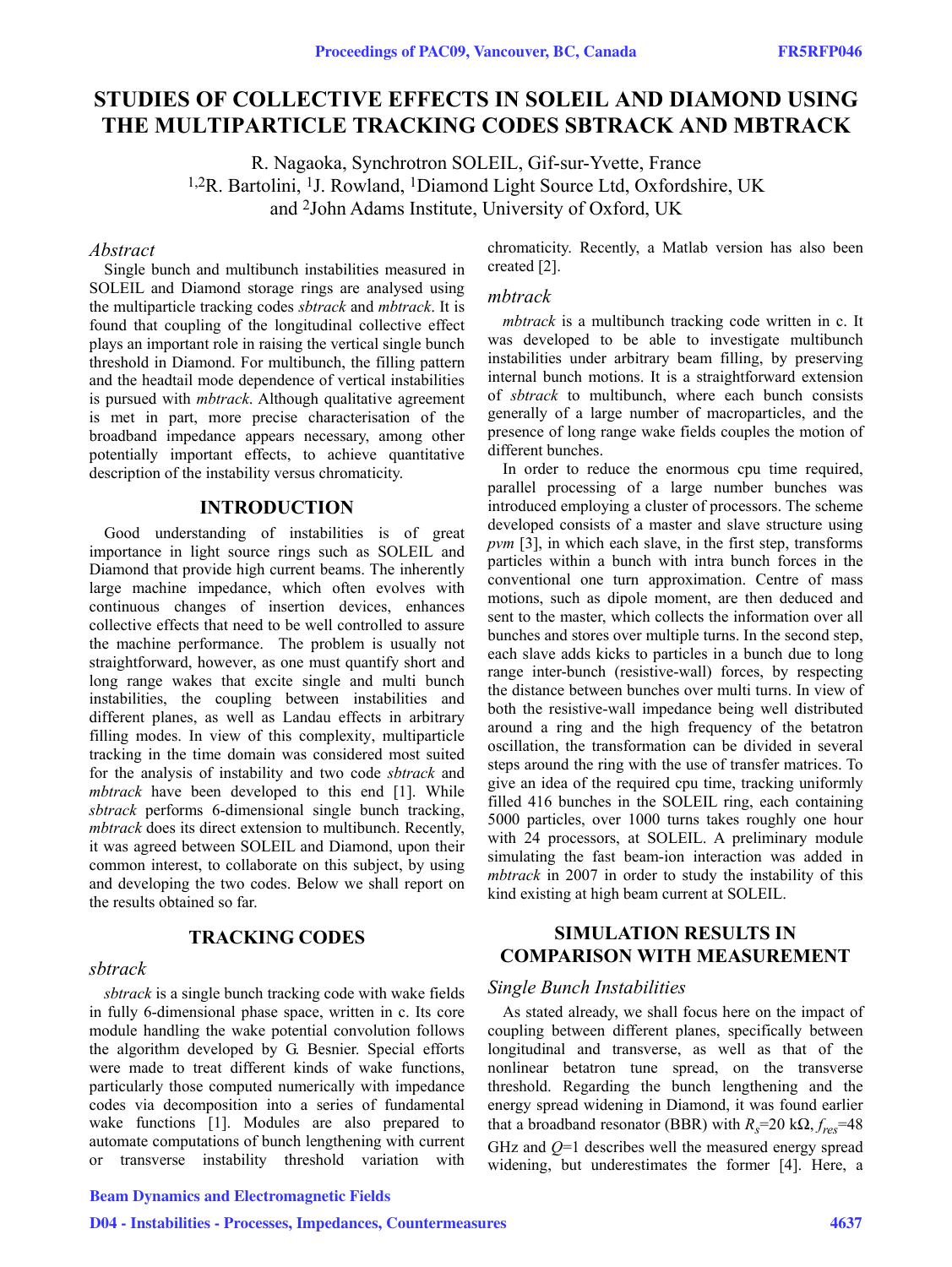# **STUDIES OF COLLECTIVE EFFECTS IN SOLEIL AND DIAMOND USING THE MULTIPARTICLE TRACKING CODES SBTRACK AND MBTRACK**

R. Nagaoka, Synchrotron SOLEIL, Gif-sur-Yvette, France 1,2R. Bartolini, 1J. Rowland, 1Diamond Light Source Ltd, Oxfordshire, UK and 2John Adams Institute, University of Oxford, UK

## *Abstract*

Single bunch and multibunch instabilities measured in SOLEIL and Diamond storage rings are analysed using the multiparticle tracking codes *sbtrack* and *mbtrack*. It is found that coupling of the longitudinal collective effect plays an important role in raising the vertical single bunch threshold in Diamond. For multibunch, the filling pattern and the headtail mode dependence of vertical instabilities is pursued with *mbtrack*. Although qualitative agreement is met in part, more precise characterisation of the broadband impedance appears necessary, among other potentially important effects, to achieve quantitative description of the instability versus chromaticity.

## **INTRODUCTION**

Good understanding of instabilities is of great importance in light source rings such as SOLEIL and Diamond that provide high current beams. The inherently large machine impedance, which often evolves with continuous changes of insertion devices, enhances collective effects that need to be well controlled to assure the machine performance. The problem is usually not straightforward, however, as one must quantify short and long range wakes that excite single and multi bunch instabilities, the coupling between instabilities and different planes, as well as Landau effects in arbitrary filling modes. In view of this complexity, multiparticle tracking in the time domain was considered most suited for the analysis of instability and two code *sbtrack* and *mbtrack* have been developed to this end [1]. While *sbtrack* performs 6-dimensional single bunch tracking, *mbtrack* does its direct extension to multibunch. Recently, it was agreed between SOLEIL and Diamond, upon their common interest, to collaborate on this subject, by using and developing the two codes. Below we shall report on the results obtained so far.

## **TRACKING CODES**

#### *sbtrack*

*sbtrack* is a single bunch tracking code with wake fields in fully 6-dimensional phase space, written in c. Its core module handling the wake potential convolution follows the algorithm developed by G. Besnier. Special efforts were made to treat different kinds of wake functions, particularly those computed numerically with impedance codes via decomposition into a series of fundamental wake functions [1]. Modules are also prepared to automate computations of bunch lengthening with current or transverse instability threshold variation with

### Beam Dynamics and Electromagnetic Fields

D04 - Instabilities - Processes, Impedances, Countermeasures 4637

chromaticity. Recently, a Matlab version has also been created [2].

### *mbtrack*

*mbtrack* is a multibunch tracking code written in c. It was developed to be able to investigate multibunch instabilities under arbitrary beam filling, by preserving internal bunch motions. It is a straightforward extension of *sbtrack* to multibunch, where each bunch consists generally of a large number of macroparticles, and the presence of long range wake fields couples the motion of different bunches.

In order to reduce the enormous cpu time required, parallel processing of a large number bunches was introduced employing a cluster of processors. The scheme developed consists of a master and slave structure using *pvm* [3], in which each slave, in the first step, transforms particles within a bunch with intra bunch forces in the conventional one turn approximation. Centre of mass motions, such as dipole moment, are then deduced and sent to the master, which collects the information over all bunches and stores over multiple turns. In the second step, each slave adds kicks to particles in a bunch due to long range inter-bunch (resistive-wall) forces, by respecting the distance between bunches over multi turns. In view of both the resistive-wall impedance being well distributed around a ring and the high frequency of the betatron oscillation, the transformation can be divided in several steps around the ring with the use of transfer matrices. To give an idea of the required cpu time, tracking uniformly filled 416 bunches in the SOLEIL ring, each containing 5000 particles, over 1000 turns takes roughly one hour with 24 processors, at SOLEIL. A preliminary module simulating the fast beam-ion interaction was added in *mbtrack* in 2007 in order to study the instability of this kind existing at high beam current at SOLEIL.

## **SIMULATION RESULTS IN COMPARISON WITH MEASUREMENT**

## *Single Bunch Instabilities*

As stated already, we shall focus here on the impact of coupling between different planes, specifically between longitudinal and transverse, as well as that of the nonlinear betatron tune spread, on the transverse threshold. Regarding the bunch lengthening and the energy spread widening in Diamond, it was found earlier that a broadband resonator (BBR) with  $R_s$ =20 k $\Omega$ ,  $f_{res}$ =48 GHz and *Q*=1 describes well the measured energy spread widening, but underestimates the former [4]. Here, a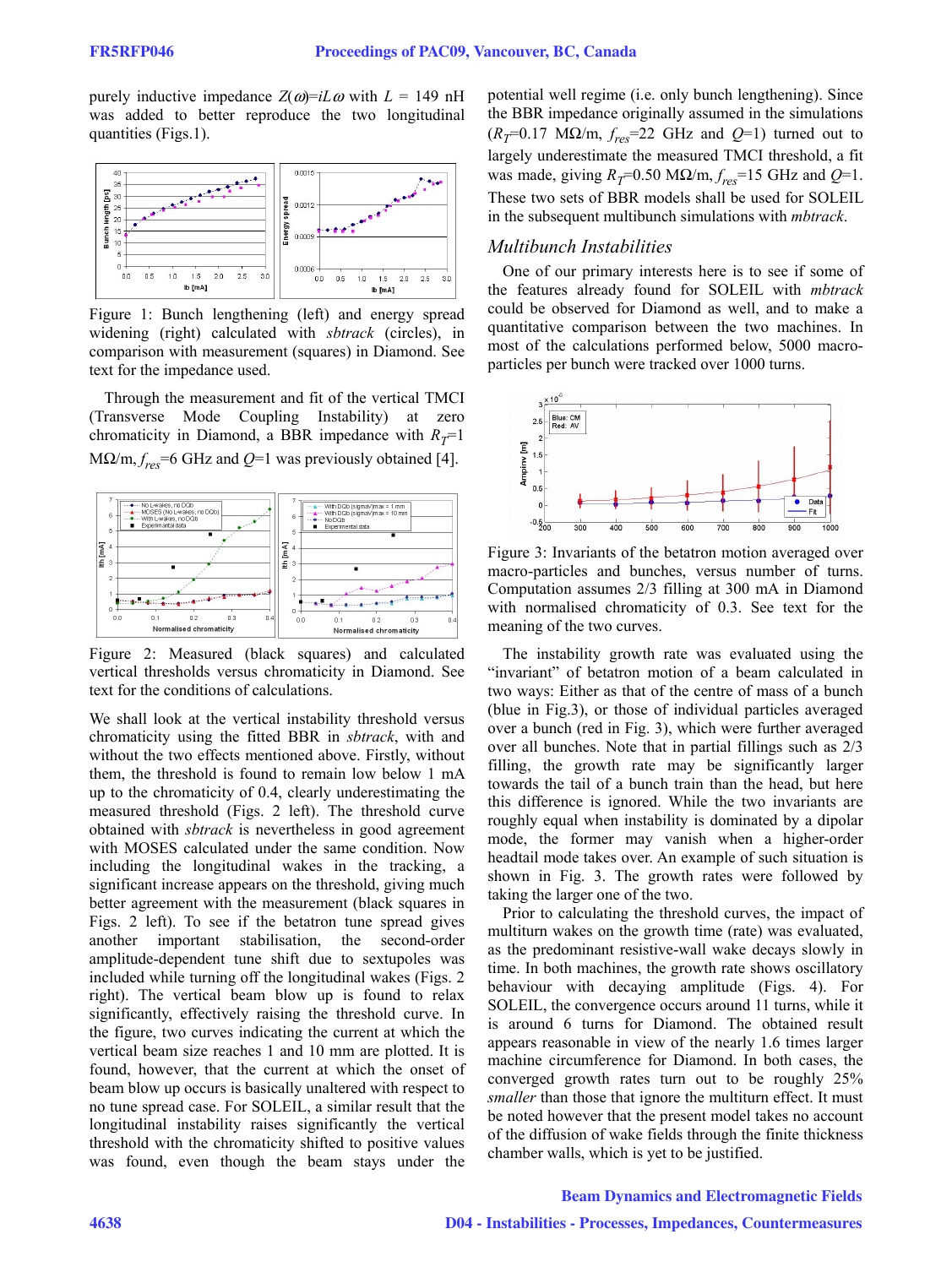purely inductive impedance  $Z(\omega) = iL\omega$  with  $L = 149$  nH was added to better reproduce the two longitudinal quantities (Figs.1).



Figure 1: Bunch lengthening (left) and energy spread widening (right) calculated with *sbtrack* (circles), in comparison with measurement (squares) in Diamond. See text for the impedance used.

Through the measurement and fit of the vertical TMCI (Transverse Mode Coupling Instability) at zero chromaticity in Diamond, a BBR impedance with  $R<sub>T</sub>=1$  $MQ/m, f_{res} = 6 \text{ GHz and } Q = 1 \text{ was previously obtained [4].}$ 



Figure 2: Measured (black squares) and calculated vertical thresholds versus chromaticity in Diamond. See text for the conditions of calculations.

We shall look at the vertical instability threshold versus chromaticity using the fitted BBR in *sbtrack*, with and without the two effects mentioned above. Firstly, without them, the threshold is found to remain low below 1 mA up to the chromaticity of 0.4, clearly underestimating the measured threshold (Figs. 2 left). The threshold curve obtained with *sbtrack* is nevertheless in good agreement with MOSES calculated under the same condition. Now including the longitudinal wakes in the tracking, a significant increase appears on the threshold, giving much better agreement with the measurement (black squares in Figs. 2 left). To see if the betatron tune spread gives another important stabilisation, the second-order amplitude-dependent tune shift due to sextupoles was included while turning off the longitudinal wakes (Figs. 2 right). The vertical beam blow up is found to relax significantly, effectively raising the threshold curve. In the figure, two curves indicating the current at which the vertical beam size reaches 1 and 10 mm are plotted. It is found, however, that the current at which the onset of beam blow up occurs is basically unaltered with respect to no tune spread case. For SOLEIL, a similar result that the longitudinal instability raises significantly the vertical threshold with the chromaticity shifted to positive values was found, even though the beam stays under the potential well regime (i.e. only bunch lengthening). Since the BBR impedance originally assumed in the simulations  $(R_T=0.17 \text{ M}\Omega/\text{m}, f_{res}=22 \text{ GHz and } Q=1)$  turned out to largely underestimate the measured TMCI threshold, a fit was made, giving  $R_T$ =0.50 M $\Omega/m$ ,  $f_{res}$ =15 GHz and  $Q$ =1. These two sets of BBR models shall be used for SOLEIL in the subsequent multibunch simulations with *mbtrack*.

### *Multibunch Instabilities*

One of our primary interests here is to see if some of the features already found for SOLEIL with *mbtrack* could be observed for Diamond as well, and to make a quantitative comparison between the two machines. In most of the calculations performed below, 5000 macroparticles per bunch were tracked over 1000 turns.



Figure 3: Invariants of the betatron motion averaged over macro-particles and bunches, versus number of turns. Computation assumes 2/3 filling at 300 mA in Diamond with normalised chromaticity of 0.3. See text for the meaning of the two curves.

The instability growth rate was evaluated using the "invariant" of betatron motion of a beam calculated in two ways: Either as that of the centre of mass of a bunch (blue in Fig.3), or those of individual particles averaged over a bunch (red in Fig. 3), which were further averaged over all bunches. Note that in partial fillings such as 2/3 filling, the growth rate may be significantly larger towards the tail of a bunch train than the head, but here this difference is ignored. While the two invariants are roughly equal when instability is dominated by a dipolar mode, the former may vanish when a higher-order headtail mode takes over. An example of such situation is shown in Fig. 3. The growth rates were followed by taking the larger one of the two.

Prior to calculating the threshold curves, the impact of multiturn wakes on the growth time (rate) was evaluated, as the predominant resistive-wall wake decays slowly in time. In both machines, the growth rate shows oscillatory behaviour with decaying amplitude (Figs. 4). For SOLEIL, the convergence occurs around 11 turns, while it is around 6 turns for Diamond. The obtained result appears reasonable in view of the nearly 1.6 times larger machine circumference for Diamond. In both cases, the converged growth rates turn out to be roughly 25% *smaller* than those that ignore the multiturn effect. It must be noted however that the present model takes no account of the diffusion of wake fields through the finite thickness chamber walls, which is yet to be justified.

#### Beam Dynamics and Electromagnetic Fields